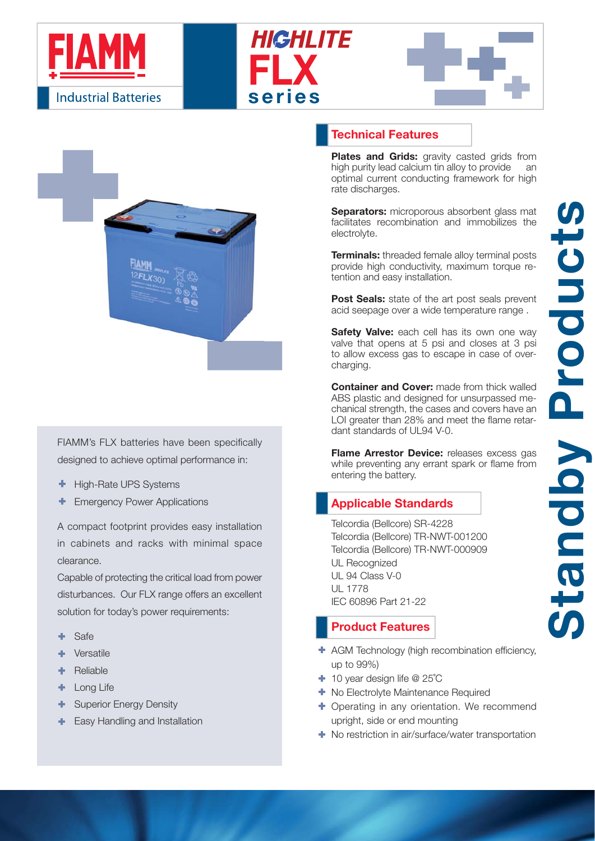







FIAMM's FLX batteries have been specifically designed to achieve optimal performance in:

- ÷ High-Rate UPS Systems
- Emergency Power Applications

A compact footprint provides easy installation in cabinets and racks with minimal space clearance.

Capable of protecting the critical load from power disturbances. Our FLX range offers an excellent solution for today's power requirements:

- ۰ Safe
- р. Versatile
- ٠ Reliable
- Long Life ٠
- ٠ Superior Energy Density
- Easy Handling and Installation ÷.

## **Technical Features**

**Plates and Grids:** gravity casted grids from high purity lead calcium tin alloy to provide an optimal current conducting framework for high rate discharges.

**Separators:** microporous absorbent glass mat facilitates recombination and immobilizes the electrolyte.

**Terminals:** threaded female alloy terminal posts provide high conductivity, maximum torque retention and easy installation.

**Post Seals:** state of the art post seals prevent acid seepage over a wide temperature range .

**Safety Valve:** each cell has its own one way valve that opens at 5 psi and closes at 3 psi to allow excess gas to escape in case of overcharging.

**Container and Cover:** made from thick walled ABS plastic and designed for unsurpassed mechanical strength, the cases and covers have an LOI greater than 28% and meet the flame retardant standards of UL94 V-0.

**Flame Arrestor Device:** releases excess gas while preventing any errant spark or flame from entering the battery.

# **Applicable Standards**

Telcordia (Bellcore) SR-4228 Telcordia (Bellcore) TR-NWT-001200 Telcordia (Bellcore) TR-NWT-000909 UL Recognized UL 94 Class V-0 UL 1778 IEC 60896 Part 21-22

### **Product Features**

- + AGM Technology (high recombination efficiency, up to 99%)
- 10 year design life @ 25˚C
- $\blacksquare$  No Electrolyte Maintenance Required
- **+** Operating in any orientation. We recommend upright, side or end mounting
- **← No restriction in air/surface/water transportation**